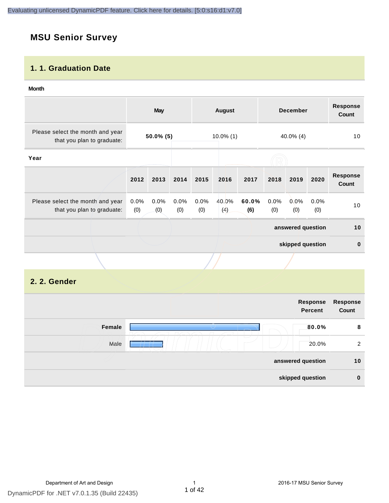## **MSU Senior Survey**

#### **1. 1. Graduation Date**

#### **Month**

|                                                                |                | May          |             |                              | <b>August</b> |              |             | <b>December</b>   |             | <b>Response</b><br>Count |
|----------------------------------------------------------------|----------------|--------------|-------------|------------------------------|---------------|--------------|-------------|-------------------|-------------|--------------------------|
| Please select the month and year<br>that you plan to graduate: |                | $50.0\%$ (5) |             | $10.0\%$ (1)<br>$40.0\%$ (4) |               |              | 10          |                   |             |                          |
| Year                                                           |                |              |             |                              |               |              |             |                   |             |                          |
|                                                                | 2012           | 2013         | 2014        | 2015                         | 2016          | 2017         | 2018        | 2019              | 2020        | <b>Response</b><br>Count |
| Please select the month and year<br>that you plan to graduate: | $0.0\%$<br>(0) | 0.0%<br>(0)  | 0.0%<br>(0) | 0.0%<br>(0)                  | 40.0%<br>(4)  | 60.0%<br>(6) | 0.0%<br>(0) | $0.0\%$<br>(0)    | 0.0%<br>(0) | 10                       |
|                                                                |                |              |             |                              |               |              |             | answered question |             | 10                       |
|                                                                |                |              |             |                              |               |              |             | skipped question  |             | $\mathbf{0}$             |
|                                                                |                |              |             |                              |               |              |             |                   |             |                          |

#### **2. 2. Gender**

| Response<br>Count | Response<br><b>Percent</b> |        |
|-------------------|----------------------------|--------|
| 8                 | 80.0%                      | Female |
| 2                 | 20.0%                      | Male   |
| 10                | answered question          |        |
| $\bf{0}$          | skipped question           |        |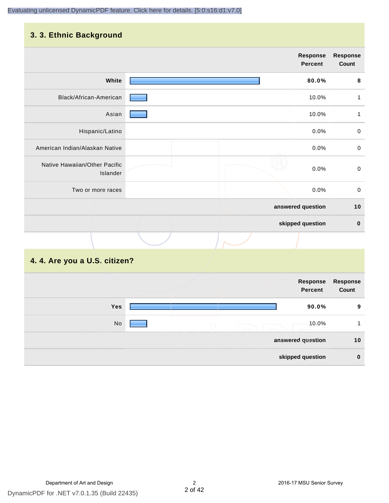#### **3. 3. Ethnic Background**

|                                           | <b>Response</b><br><b>Percent</b> | <b>Response</b><br>Count |
|-------------------------------------------|-----------------------------------|--------------------------|
| White                                     | 80.0%                             | 8                        |
| Black/African-American                    | 10.0%                             | 1                        |
| Asian                                     | 10.0%                             | 1                        |
| Hispanic/Latino                           | 0.0%                              | $\mathbf 0$              |
| American Indian/Alaskan Native            | 0.0%                              | $\mathbf 0$              |
| Native Hawaiian/Other Pacific<br>Islander | 0.0%                              | $\pmb{0}$                |
| Two or more races                         | 0.0%                              | $\mathbf 0$              |
|                                           | answered question                 | 10                       |
|                                           | skipped question                  | $\pmb{0}$                |
|                                           |                                   |                          |

## **4. 4. Are you a U.S. citizen?**

|     |                   | Response<br><b>Percent</b> | Response<br>Count |
|-----|-------------------|----------------------------|-------------------|
| Yes |                   | 90.0%                      | 9                 |
| No  | $\bigcirc$        | 10.0%                      |                   |
|     | answered question |                            | 10                |
|     |                   | skipped question           | $\mathbf 0$       |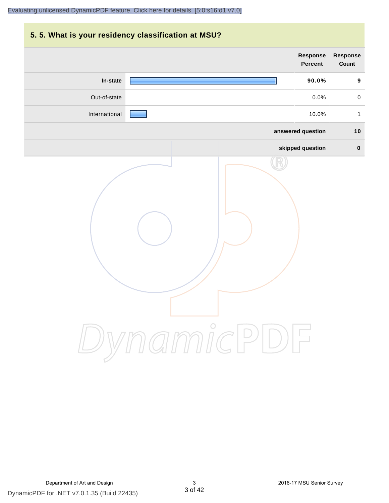## **5. 5. What is your residency classification at MSU?**

|               | <b>Response</b><br>Percent | Response<br>Count |
|---------------|----------------------------|-------------------|
| In-state      | 90.0%                      | $\boldsymbol{9}$  |
| Out-of-state  | 0.0%                       | $\pmb{0}$         |
| International | 10.0%                      | $\mathbf{1}$      |
|               | answered question          | 10                |
|               | skipped question           | $\pmb{0}$         |
|               | ynamicPD                   |                   |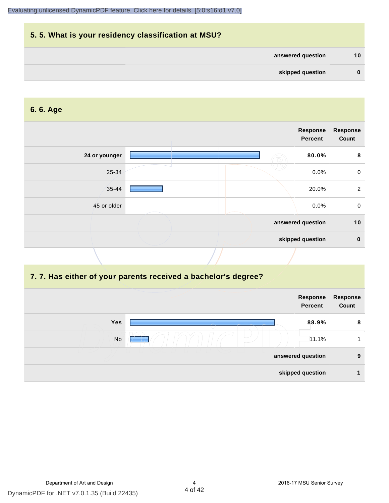

#### **6. 6. Age**

|               | Response<br>Percent |       | <b>Response</b><br>Count |
|---------------|---------------------|-------|--------------------------|
| 24 or younger |                     | 80.0% | 8                        |
| 25-34         |                     | 0.0%  | $\mathbf 0$              |
| 35-44         |                     | 20.0% | 2                        |
| 45 or older   |                     | 0.0%  | $\mathbf 0$              |
|               | answered question   |       | 10                       |
|               | skipped question    |       | $\mathbf 0$              |

#### **7. 7. Has either of your parents received a bachelor's degree?**

|            | Response<br><b>Percent</b> | <b>Response</b><br>Count |
|------------|----------------------------|--------------------------|
| <b>Yes</b> | 88.9%                      | 8                        |
| No         | 11.1%                      |                          |
|            | answered question          | 9                        |
|            | skipped question           |                          |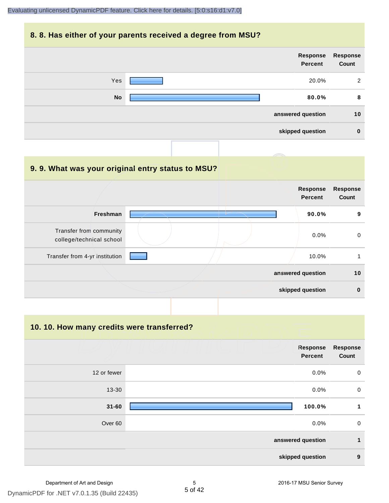#### **8. 8. Has either of your parents received a degree from MSU?**



| 9.9. What was your original entry status to MSU?    |                                   |                          |
|-----------------------------------------------------|-----------------------------------|--------------------------|
|                                                     | <b>Response</b><br><b>Percent</b> | <b>Response</b><br>Count |
| Freshman                                            | 90.0%                             | 9                        |
| Transfer from community<br>college/technical school | $0.0\%$                           | $\mathbf 0$              |
| Transfer from 4-yr institution                      | 10.0%                             |                          |
|                                                     | answered question                 | 10                       |
|                                                     | skipped question                  | $\bf{0}$                 |

**10. 10. How many credits were transferred?**

|             | Response<br><b>Percent</b> | <b>Response</b><br>Count |
|-------------|----------------------------|--------------------------|
| 12 or fewer | 0.0%                       | $\mathbf 0$              |
| 13-30       | 0.0%                       | 0                        |
| $31 - 60$   | 100.0%                     | 1                        |
| Over 60     | 0.0%                       | $\mathbf 0$              |
|             | answered question          | 1                        |
|             | skipped question           | $\boldsymbol{9}$         |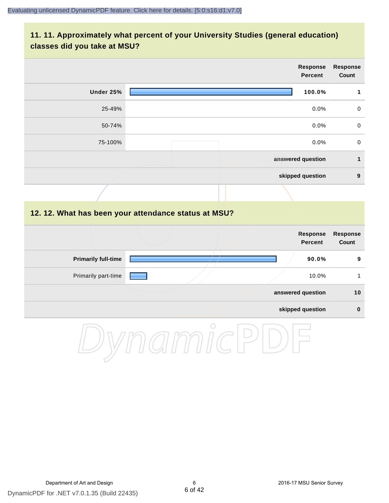#### **11. 11. Approximately what percent of your University Studies (general education) classes did you take at MSU?**

|                            |                                                      | <b>Response</b><br><b>Percent</b> | <b>Response</b><br>Count |
|----------------------------|------------------------------------------------------|-----------------------------------|--------------------------|
| Under 25%                  |                                                      | 100.0%                            | $\mathbf{1}$             |
| 25-49%                     |                                                      | 0.0%                              | $\mathbf 0$              |
| 50-74%                     |                                                      | 0.0%                              | $\pmb{0}$                |
| 75-100%                    |                                                      | 0.0%                              | $\pmb{0}$                |
|                            |                                                      | answered question                 | $\mathbf{1}$             |
|                            |                                                      | skipped question                  | $\boldsymbol{9}$         |
|                            |                                                      |                                   |                          |
|                            | 12. 12. What has been your attendance status at MSU? |                                   |                          |
|                            |                                                      | <b>Response</b><br><b>Percent</b> | Response<br>Count        |
| <b>Primarily full-time</b> |                                                      | 90.0%                             | $\boldsymbol{9}$         |
| Primarily part-time        |                                                      | 10.0%                             | $\mathbf{1}$             |
|                            |                                                      | answered question                 | $10$                     |
|                            |                                                      | skipped question                  | $\pmb{0}$                |
|                            | $\bigcirc$                                           |                                   |                          |

DynamicPDF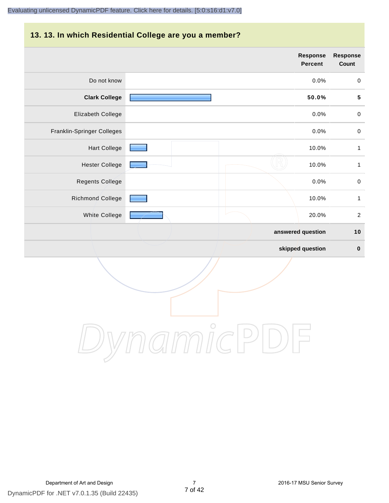#### **13. 13. In which Residential College are you a member?**

|                            | <b>Response</b><br><b>Percent</b> | <b>Response</b><br>Count |
|----------------------------|-----------------------------------|--------------------------|
| Do not know                | 0.0%                              | $\mathbf 0$              |
| <b>Clark College</b>       | 50.0%                             | ${\bf 5}$                |
| Elizabeth College          | 0.0%                              | $\pmb{0}$                |
| Franklin-Springer Colleges | 0.0%                              | $\,0\,$                  |
| <b>Hart College</b>        | 10.0%                             | $\mathbf{1}$             |
| <b>Hester College</b>      | 10.0%                             | $\mathbf{1}$             |
| Regents College            | 0.0%                              | $\pmb{0}$                |
| <b>Richmond College</b>    | 10.0%                             | $\mathbf{1}$             |
| White College              | 20.0%                             | $\overline{2}$           |
|                            | answered question                 | 10                       |
|                            | skipped question                  | $\pmb{0}$                |

DynamicPDF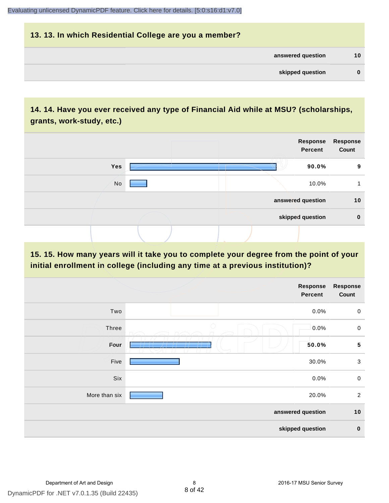## **13. 13. In which Residential College are you a member? answered question 10 skipped question 0**

### **14. 14. Have you ever received any type of Financial Aid while at MSU? (scholarships, grants, work-study, etc.)**



#### **15. 15. How many years will it take you to complete your degree from the point of your initial enrollment in college (including any time at a previous institution)?**

|               | <b>Response</b><br>Percent | Response<br>Count |
|---------------|----------------------------|-------------------|
| Two           | 0.0%                       | $\mathbf 0$       |
| <b>Three</b>  | $\bigcirc$<br>0.0%         | $\pmb{0}$         |
| Four          | 50.0%                      | ${\bf 5}$         |
| Five          | 30.0%                      | $\sqrt{3}$        |
| Six           | 0.0%                       | $\pmb{0}$         |
| More than six | 20.0%                      | $\overline{2}$    |
|               | answered question          | 10                |
|               | skipped question           | $\pmb{0}$         |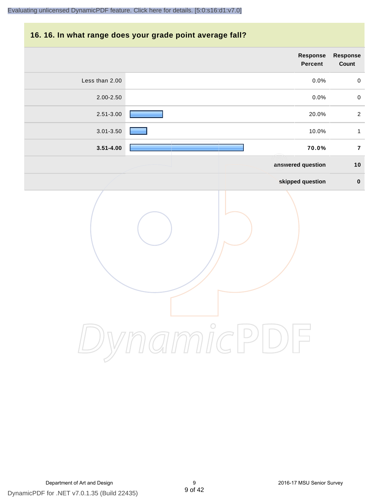#### **16. 16. In what range does your grade point average fall?**

| Response<br>Count | Response<br>Percent |            |                |
|-------------------|---------------------|------------|----------------|
| $\mathbf 0$       | $0.0\%$             |            | Less than 2.00 |
| $\mathbf 0$       | 0.0%                |            | 2.00-2.50      |
| $\overline{a}$    | 20.0%               |            | 2.51-3.00      |
| $\mathbf{1}$      | 10.0%               |            | $3.01 - 3.50$  |
| $\bf 7$           | 70.0%               |            | $3.51 - 4.00$  |
| $10$              | answered question   |            |                |
| $\pmb{0}$         | skipped question    |            |                |
|                   |                     | $\bigcirc$ |                |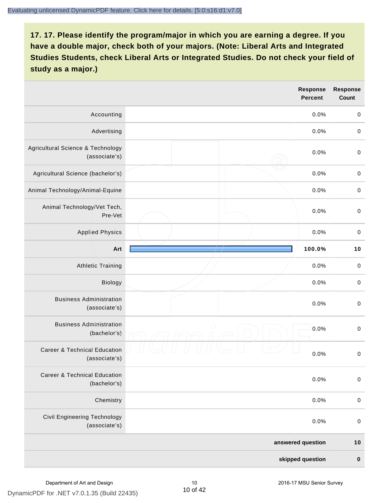|                                                          | <b>Response</b><br><b>Percent</b> | <b>Response</b><br>Count |
|----------------------------------------------------------|-----------------------------------|--------------------------|
| Accounting                                               | 0.0%                              | $\mathbf 0$              |
| Advertising                                              | 0.0%                              | $\mbox{O}$               |
| Agricultural Science & Technology<br>(associate's)       | 0.0%                              | $\mbox{O}$               |
| Agricultural Science (bachelor's)                        | 0.0%                              | $\mathbf 0$              |
| Animal Technology/Animal-Equine                          | 0.0%                              | $\mathbf 0$              |
| Animal Technology/Vet Tech,<br>Pre-Vet                   | 0.0%                              | $\mathbf 0$              |
| <b>Applied Physics</b>                                   | 0.0%                              | $\mathbf 0$              |
| Art                                                      | 100.0%                            | 10                       |
| <b>Athletic Training</b>                                 | 0.0%                              | $\,0\,$                  |
| Biology                                                  | 0.0%                              | $\mbox{O}$               |
| <b>Business Administration</b><br>(associate's)          | 0.0%                              | $\,0\,$                  |
| <b>Business Administration</b><br>(bachelor's)           | $\bigcirc$<br>0.0%                | $\mbox{O}$               |
| <b>Career &amp; Technical Education</b><br>(associate's) | 0.0%                              | $\mathbf 0$              |
| <b>Career &amp; Technical Education</b><br>(bachelor's)  | 0.0%                              | $\mathbf 0$              |
| Chemistry                                                | 0.0%                              | $\mathbf 0$              |
| Civil Engineering Technology<br>(associate's)            | 0.0%                              | $\pmb{0}$                |
|                                                          | answered question                 | $10$                     |
|                                                          | skipped question                  | $\pmb{0}$                |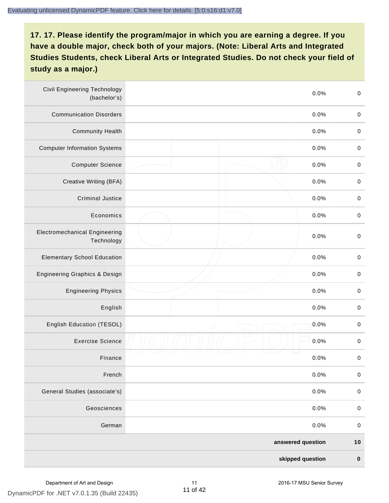| <b>Civil Engineering Technology</b><br>(bachelor's) | 0.0%               | $\mathbf 0$ |
|-----------------------------------------------------|--------------------|-------------|
| <b>Communication Disorders</b>                      | 0.0%               | $\mathbf 0$ |
| <b>Community Health</b>                             | 0.0%               | $\pmb{0}$   |
| <b>Computer Information Systems</b>                 | 0.0%               | $\pmb{0}$   |
| <b>Computer Science</b>                             | 0.0%               | $\mathbf 0$ |
| Creative Writing (BFA)                              | 0.0%               | $\mathbf 0$ |
| <b>Criminal Justice</b>                             | 0.0%               | $\mathbf 0$ |
| Economics                                           | 0.0%               | $\pmb{0}$   |
| <b>Electromechanical Engineering</b><br>Technology  | 0.0%               | $\mathbf 0$ |
| <b>Elementary School Education</b>                  | 0.0%               | $\mathbf 0$ |
| <b>Engineering Graphics &amp; Design</b>            | 0.0%               | $\pmb{0}$   |
| <b>Engineering Physics</b>                          | 0.0%               | $\pmb{0}$   |
| English                                             | 0.0%               | $\pmb{0}$   |
| English Education (TESOL)                           | 0.0%<br>$\bigcirc$ | $\mathbf 0$ |
| <b>Exercise Science</b>                             | 0.0%               | $\mathbf 0$ |
| Finance                                             | 0.0%               | $\pmb{0}$   |
| French                                              | 0.0%               | $\mathbf 0$ |
| General Studies (associate's)                       | 0.0%               | $\mathbf 0$ |
| Geosciences                                         | 0.0%               | $\mathbf 0$ |
| German                                              | 0.0%               | $\mathbf 0$ |
|                                                     | answered question  | $10$        |
|                                                     | skipped question   | $\pmb{0}$   |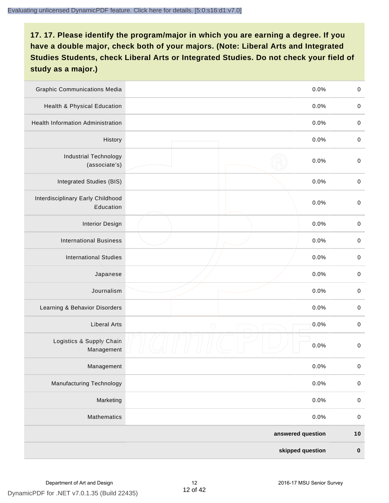| <b>Graphic Communications Media</b>            | 0.0%               | $\mathbf 0$ |
|------------------------------------------------|--------------------|-------------|
| <b>Health &amp; Physical Education</b>         | 0.0%               | $\mathbf 0$ |
| <b>Health Information Administration</b>       | 0.0%               | $\pmb{0}$   |
| History                                        | 0.0%               | $\pmb{0}$   |
| <b>Industrial Technology</b><br>(associate's)  | 0.0%               | $\mathbf 0$ |
| Integrated Studies (BIS)                       | 0.0%               | $\mathbf 0$ |
| Interdisciplinary Early Childhood<br>Education | 0.0%               | $\mathbf 0$ |
| <b>Interior Design</b>                         | 0.0%               | $\mathbf 0$ |
| <b>International Business</b>                  | 0.0%               | $\mathbf 0$ |
| <b>International Studies</b>                   | 0.0%               | $\,0\,$     |
| Japanese                                       | 0.0%               | $\pmb{0}$   |
| Journalism                                     | 0.0%               | $\pmb{0}$   |
| Learning & Behavior Disorders                  | 0.0%               | $\mathbf 0$ |
| <b>Liberal Arts</b>                            | 0.0%<br>$\bigcirc$ | $\pmb{0}$   |
| Logistics & Supply Chain<br>Management         | 0.0%               | $\pmb{0}$   |
| Management                                     | 0.0%               | $\pmb{0}$   |
| <b>Manufacturing Technology</b>                | 0.0%               | $\mathbf 0$ |
| Marketing                                      | 0.0%               | $\mathbf 0$ |
| Mathematics                                    | 0.0%               | $\mathbf 0$ |
|                                                | answered question  | $10$        |
|                                                | skipped question   | $\pmb{0}$   |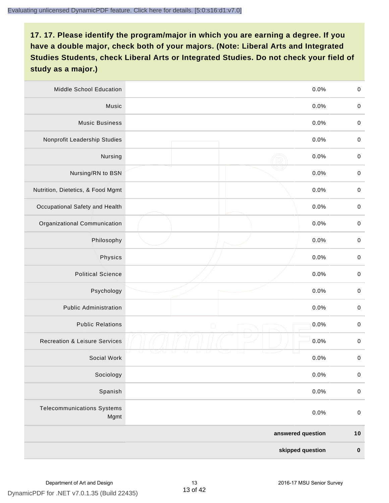| Middle School Education                   | 0.0%               | $\,0\,$     |
|-------------------------------------------|--------------------|-------------|
| Music                                     | 0.0%               | $\mathbf 0$ |
| <b>Music Business</b>                     | 0.0%               | $\mathbf 0$ |
| Nonprofit Leadership Studies              | 0.0%               | $\pmb{0}$   |
| Nursing                                   | 0.0%               | $\pmb{0}$   |
| Nursing/RN to BSN                         | 0.0%               | $\,0\,$     |
| Nutrition, Dietetics, & Food Mgmt         | 0.0%               | $\pmb{0}$   |
| Occupational Safety and Health            | 0.0%               | $\mathbf 0$ |
| Organizational Communication              | 0.0%               | $\pmb{0}$   |
| Philosophy                                | 0.0%               | $\pmb{0}$   |
| Physics                                   | 0.0%               | $\,0\,$     |
| <b>Political Science</b>                  | 0.0%               | $\mathbf 0$ |
| Psychology                                | 0.0%               | $\pmb{0}$   |
| <b>Public Administration</b>              | 0.0%               | $\pmb{0}$   |
| <b>Public Relations</b>                   | 0.0%<br>$\bigcirc$ | $\pmb{0}$   |
| <b>Recreation &amp; Leisure Services</b>  | 0.0%               | $\pmb{0}$   |
| Social Work                               | 0.0%               | $\pmb{0}$   |
| Sociology                                 | 0.0%               | $\mathbf 0$ |
| Spanish                                   | 0.0%               | $\pmb{0}$   |
| <b>Telecommunications Systems</b><br>Mgmt | 0.0%               | $\mathbf 0$ |
|                                           | answered question  | $10$        |
|                                           | skipped question   | $\pmb{0}$   |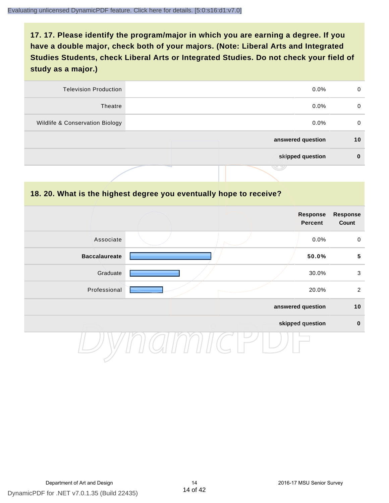| <b>Television Production</b>    | $0.0\%$           | 0  |
|---------------------------------|-------------------|----|
| Theatre                         | $0.0\%$           | 0  |
| Wildlife & Conservation Biology | $0.0\%$           | 0  |
|                                 | answered question | 10 |
|                                 | skipped question  | 0  |
|                                 | .                 |    |

#### **18. 20. What is the highest degree you eventually hope to receive?**

|                      |  | Response<br>Percent | <b>Response</b><br>Count |
|----------------------|--|---------------------|--------------------------|
| Associate            |  | 0.0%                | $\mathbf 0$              |
| <b>Baccalaureate</b> |  | 50.0%               | $\overline{\mathbf{5}}$  |
| Graduate             |  | 30.0%               | $\mathbf{3}$             |
| Professional         |  | 20.0%               | $\overline{2}$           |
|                      |  | answered question   | 10                       |
|                      |  | skipped question    | $\pmb{0}$                |
|                      |  |                     |                          |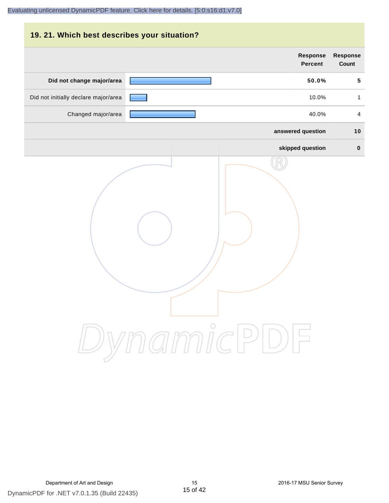| 19. 21. Which best describes your situation? |                                   |                                 |
|----------------------------------------------|-----------------------------------|---------------------------------|
|                                              | <b>Response</b><br><b>Percent</b> | <b>Response</b><br><b>Count</b> |
| Did not change major/area                    | 50.0%                             | 5                               |
| Did not initially declare major/area         | 10.0%                             | $\mathbf{1}$                    |
| Changed major/area                           | 40.0%                             | 4                               |
|                                              | answered question                 | 10                              |
|                                              | skipped question                  | $\bf{0}$                        |
|                                              | DynamicPDF                        |                                 |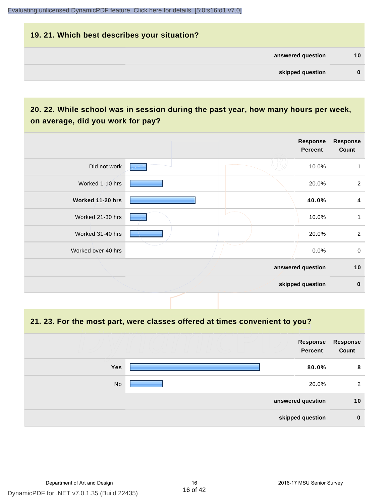# **19. 21. Which best describes your situation? answered question 10 skipped question 0**

### **20. 22. While school was in session during the past year, how many hours per week, on average, did you work for pay?**

|                    |  | Response<br>Percent | <b>Response</b><br>Count |
|--------------------|--|---------------------|--------------------------|
| Did not work       |  | 10.0%               | 1                        |
| Worked 1-10 hrs    |  | 20.0%               | $\overline{2}$           |
| Worked 11-20 hrs   |  | 40.0%               | 4                        |
| Worked 21-30 hrs   |  | 10.0%               | 1                        |
| Worked 31-40 hrs   |  | 20.0%               | $\overline{2}$           |
| Worked over 40 hrs |  | $0.0\%$             | $\mathbf 0$              |
|                    |  | answered question   | 10                       |
|                    |  | skipped question    | $\mathbf 0$              |

**21. 23. For the most part, were classes offered at times convenient to you?**

|            |                   | Response<br><b>Percent</b> | Response<br>Count |
|------------|-------------------|----------------------------|-------------------|
| <b>Yes</b> |                   | 80.0%                      | 8                 |
| <b>No</b>  |                   | 20.0%                      | 2                 |
|            | answered question |                            | 10                |
|            | skipped question  |                            | $\bf{0}$          |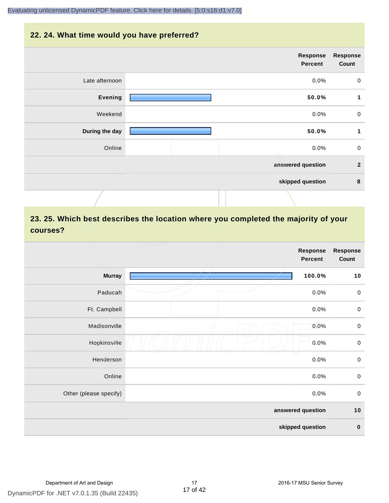#### **22. 24. What time would you have preferred?**

|                | Response<br>Percent | <b>Response</b><br>Count |
|----------------|---------------------|--------------------------|
| Late afternoon | 0.0%                | $\mathbf 0$              |
| <b>Evening</b> | 50.0%               | 1                        |
| Weekend        | 0.0%                | $\pmb{0}$                |
| During the day | 50.0%               | 1                        |
| Online         | 0.0%                | $\mathbf 0$              |
|                | answered question   | $\overline{2}$           |
|                | skipped question    | $\pmb{8}$                |
|                |                     |                          |

### **23. 25. Which best describes the location where you completed the majority of your courses?**

|                        |            | <b>Response</b><br><b>Percent</b> | Response<br>Count |
|------------------------|------------|-----------------------------------|-------------------|
| <b>Murray</b>          |            | 100.0%                            | 10                |
| Paducah                |            | 0.0%                              | $\pmb{0}$         |
| Ft. Campbell           |            | 0.0%                              | $\pmb{0}$         |
| Madisonville           | $\bigcirc$ | 0.0%                              | $\mathbf 0$       |
| Hopkinsville           |            | 0.0%                              | $\pmb{0}$         |
| Henderson              |            | 0.0%                              | $\mathbf 0$       |
| Online                 |            | 0.0%                              | $\pmb{0}$         |
| Other (please specify) |            | 0.0%                              | $\mathbf 0$       |
|                        |            | answered question                 | $10$              |
|                        |            | skipped question                  | $\pmb{0}$         |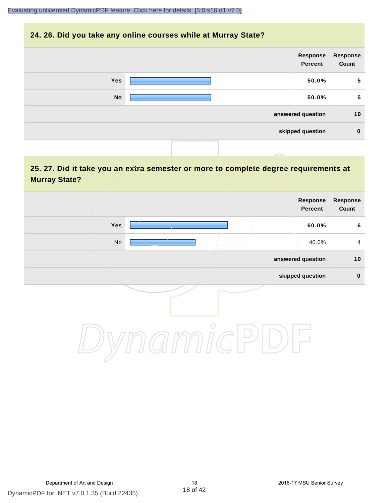#### **24. 26. Did you take any online courses while at Murray State?**



#### **25. 27. Did it take you an extra semester or more to complete degree requirements at Murray State?**

| Response<br>Count | Response<br>Percent |         |     |  |
|-------------------|---------------------|---------|-----|--|
| $\bf 6$           | 60.0%               |         | Yes |  |
| $\overline{4}$    | 40.0%               |         | No  |  |
| 10                | answered question   |         |     |  |
| $\pmb{0}$         | skipped question    |         |     |  |
|                   |                     | $\circ$ |     |  |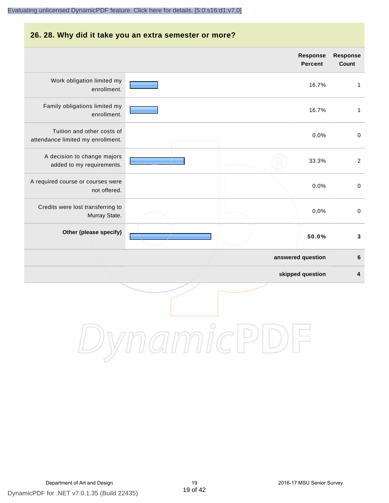## **26. 28. Why did it take you an extra semester or more? Response Response Percent Count** Work obligation limited my 16.7% 1 enrollment. Family obligations limited my 16.7% 1 enrollment. Tuition and other costs of 0.0% 0 attendance limited my enrollment. A decision to change majors 33.3% 2 added to my requirements. A required course or courses were 0.0% 0 not offered. Credits were lost transferring to 0.0% 0 Murray State. **Other (please specify) 50.0% 3 answered question 6 skipped question 4** DynamicPDI

DynamicPDF for .NET v7.0.1.35 (Build 22435) Department of Art and Design 19 2016-17 MSU Senior Survey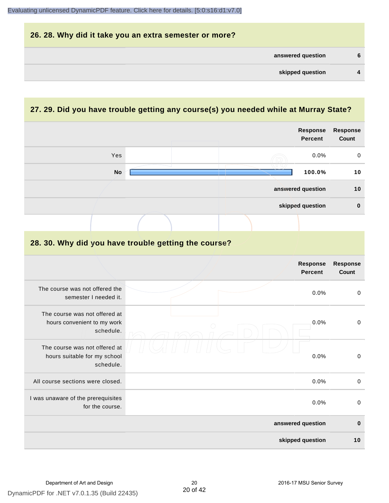| 26. 28. Why did it take you an extra semester or more? |                |
|--------------------------------------------------------|----------------|
| answered question                                      | 6              |
| skipped question                                       | $\overline{4}$ |

## **27. 29. Did you have trouble getting any course(s) you needed while at Murray State?**

|                                                                            |  |  | <b>Response</b><br><b>Percent</b> | <b>Response</b><br>Count |
|----------------------------------------------------------------------------|--|--|-----------------------------------|--------------------------|
| Yes                                                                        |  |  | 0.0%                              | 0                        |
| <b>No</b>                                                                  |  |  | 100.0%                            | 10                       |
|                                                                            |  |  | answered question                 | 10                       |
|                                                                            |  |  | skipped question                  | $\pmb{0}$                |
|                                                                            |  |  |                                   |                          |
| 28. 30. Why did you have trouble getting the course?                       |  |  |                                   |                          |
|                                                                            |  |  | <b>Response</b><br><b>Percent</b> | Response<br>Count        |
| The course was not offered the<br>semester I needed it.                    |  |  | 0.0%                              | $\pmb{0}$                |
| The course was not offered at<br>hours convenient to my work<br>schedule.  |  |  | 0.0%                              | $\mathbf 0$              |
| The course was not offered at<br>hours suitable for my school<br>schedule. |  |  | 0.0%                              | $\pmb{0}$                |
| All course sections were closed.                                           |  |  | 0.0%                              | $\pmb{0}$                |
| I was unaware of the prerequisites<br>for the course.                      |  |  | 0.0%                              | $\mbox{O}$               |
|                                                                            |  |  | answered question                 | $\bf{0}$                 |
|                                                                            |  |  | skipped question                  | 10                       |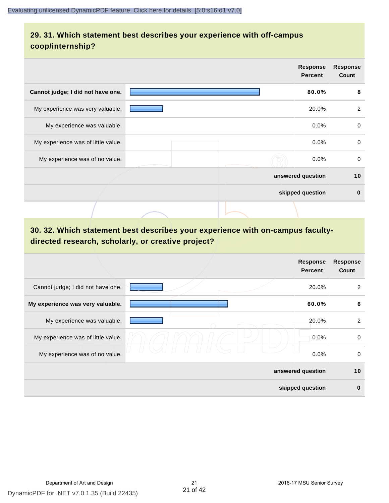#### **29. 31. Which statement best describes your experience with off-campus coop/internship?**

|                                    | Response<br><b>Percent</b> | <b>Response</b><br>Count |
|------------------------------------|----------------------------|--------------------------|
| Cannot judge; I did not have one.  | 80.0%                      | 8                        |
| My experience was very valuable.   | 20.0%                      | 2                        |
| My experience was valuable.        | 0.0%                       | $\mathbf 0$              |
| My experience was of little value. | $0.0\%$                    | $\mathbf 0$              |
| My experience was of no value.     | $0.0\%$                    | 0                        |
|                                    | answered question          | 10                       |
|                                    | skipped question           | $\bf{0}$                 |
|                                    |                            |                          |

## **30. 32. Which statement best describes your experience with on-campus facultydirected research, scholarly, or creative project?**

|                                    | <b>Response</b><br><b>Percent</b> | <b>Response</b><br>Count |
|------------------------------------|-----------------------------------|--------------------------|
| Cannot judge; I did not have one.  | 20.0%                             | 2                        |
| My experience was very valuable.   | 60.0%                             | 6                        |
| My experience was valuable.        | 20.0%                             | $\overline{2}$           |
| My experience was of little value. | 0.0%                              | 0                        |
| My experience was of no value.     | 0.0%                              | 0                        |
|                                    | answered question                 | 10                       |
|                                    | skipped question                  | $\bf{0}$                 |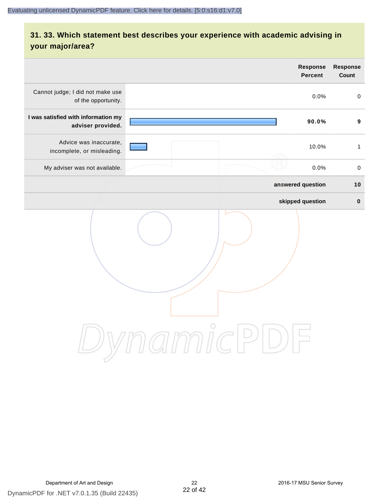## **31. 33. Which statement best describes your experience with academic advising in your major/area?**

|                                                          |                                                          | <b>Response</b><br><b>Percent</b> | Response<br>Count |
|----------------------------------------------------------|----------------------------------------------------------|-----------------------------------|-------------------|
| Cannot judge; I did not make use<br>of the opportunity.  |                                                          | 0.0%                              | $\mathsf 0$       |
| I was satisfied with information my<br>adviser provided. |                                                          | 90.0%                             | $\boldsymbol{9}$  |
| Advice was inaccurate,<br>incomplete, or misleading.     |                                                          | 10.0%                             | $\mathbf{1}$      |
| My adviser was not available.                            |                                                          | 0.0%                              | $\mathbf 0$       |
|                                                          |                                                          | answered question                 | 10                |
|                                                          |                                                          | skipped question                  | $\pmb{0}$         |
|                                                          | namicPl<br>$\left( \begin{array}{c} \end{array} \right)$ |                                   |                   |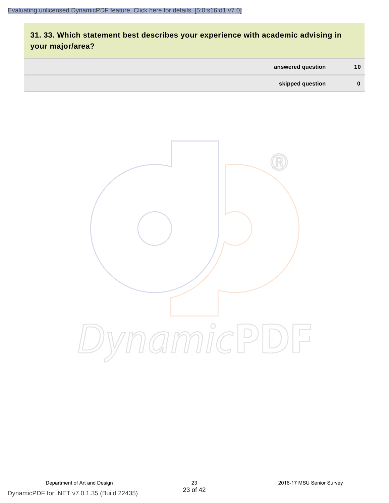## **31. 33. Which statement best describes your experience with academic advising in your major/area?**

| answered question | 10 <sup>°</sup> |
|-------------------|-----------------|
| skipped question  | 0               |

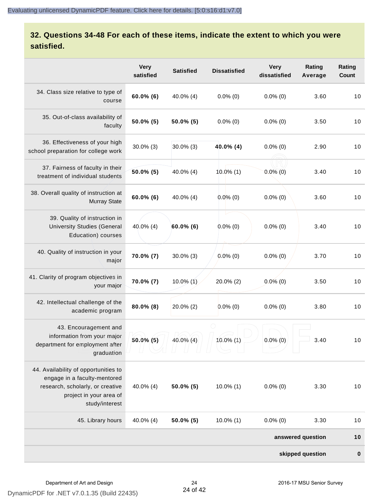### **32. Questions 34-48 For each of these items, indicate the extent to which you were satisfied.**

|                                                                                                                                                       | <b>Very</b><br>satisfied | <b>Satisfied</b> | <b>Dissatisfied</b> | <b>Very</b><br>dissatisfied | Rating<br>Average | Rating<br>Count |
|-------------------------------------------------------------------------------------------------------------------------------------------------------|--------------------------|------------------|---------------------|-----------------------------|-------------------|-----------------|
| 34. Class size relative to type of<br>course                                                                                                          | $60.0\%$ (6)             | 40.0% (4)        | $0.0\%$ (0)         | $0.0\%$ (0)                 | 3.60              | 10              |
| 35. Out-of-class availability of<br>faculty                                                                                                           | $50.0\%$ (5)             | $50.0\%$ (5)     | $0.0\%$ (0)         | $0.0\%$ (0)                 | 3.50              | 10              |
| 36. Effectiveness of your high<br>school preparation for college work                                                                                 | $30.0\%$ (3)             | $30.0\%$ (3)     | 40.0% (4)           | $0.0\%$ (0)                 | 2.90              | 10              |
| 37. Fairness of faculty in their<br>treatment of individual students                                                                                  | $50.0\%$ (5)             | 40.0% (4)        | $10.0\%$ (1)        | $0.0\%$ (0)                 | 3.40              | 10              |
| 38. Overall quality of instruction at<br><b>Murray State</b>                                                                                          | $60.0\%$ (6)             | 40.0% (4)        | $0.0\%$ (0)         | $0.0\%$ (0)                 | 3.60              | 10              |
| 39. Quality of instruction in<br><b>University Studies (General</b><br>Education) courses                                                             | $40.0\%$ (4)             | $60.0\%$ (6)     | $0.0\%$ (0)         | $0.0\%$ (0)                 | 3.40              | 10              |
| 40. Quality of instruction in your<br>major                                                                                                           | 70.0% (7)                | $30.0\%$ (3)     | $0.0\%$ (0)         | $0.0\%$ (0)                 | 3.70              | 10              |
| 41. Clarity of program objectives in<br>your major                                                                                                    | 70.0% (7)                | $10.0\%$ (1)     | 20.0% (2)           | $0.0\%$ (0)                 | 3.50              | 10              |
| 42. Intellectual challenge of the<br>academic program                                                                                                 | $80.0\%$ (8)             | $20.0\%$ (2)     | $0.0\%$ (0)         | $0.0\%$ (0)                 | 3.80              | 10              |
| 43. Encouragement and<br>information from your major<br>department for employment after<br>graduation                                                 | $50.0\%$ (5)             | $40.0\%$ (4)     | 10.0% (1)           | $0.0\%$ (0)                 | 3.40              | 10              |
| 44. Availability of opportunities to<br>engage in a faculty-mentored<br>research, scholarly, or creative<br>project in your area of<br>study/interest | $40.0\%$ (4)             | 50.0% (5)        | $10.0\%$ (1)        | $0.0\%$ (0)                 | 3.30              | 10              |
| 45. Library hours                                                                                                                                     | 40.0% (4)                | $50.0\%$ (5)     | $10.0\%$ (1)        | $0.0\%$ (0)                 | 3.30              | 10              |
|                                                                                                                                                       |                          |                  |                     |                             | answered question | 10              |
|                                                                                                                                                       |                          |                  |                     |                             | skipped question  | $\pmb{0}$       |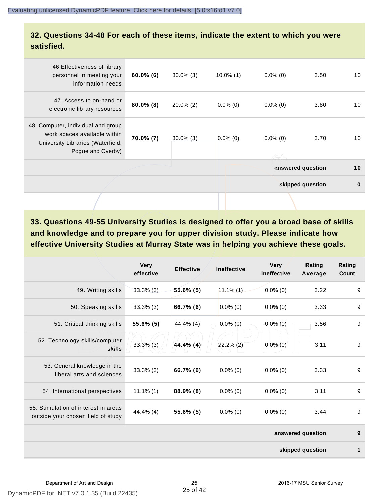#### **32. Questions 34-48 For each of these items, indicate the extent to which you were satisfied.**

| 46 Effectiveness of library                                                                                                  |              |              |                   |             |                  |          |
|------------------------------------------------------------------------------------------------------------------------------|--------------|--------------|-------------------|-------------|------------------|----------|
| personnel in meeting your<br>information needs                                                                               | $60.0\%$ (6) | $30.0\%$ (3) | $10.0\%$ (1)      | $0.0\%$ (0) | 3.50             | 10       |
| 47. Access to on-hand or<br>electronic library resources                                                                     | $80.0\%$ (8) | $20.0\%$ (2) | $0.0\%$ (0)       | $0.0\%$ (0) | 3.80             | 10       |
| 48. Computer, individual and group<br>work spaces available within<br>University Libraries (Waterfield,<br>Pogue and Overby) | 70.0% (7)    | $30.0\%$ (3) | $0.0\%$ (0)       | $0.0\%$ (0) | 3.70             | 10       |
|                                                                                                                              |              |              | answered question | 10          |                  |          |
|                                                                                                                              |              |              |                   |             | skipped question | $\bf{0}$ |
|                                                                                                                              |              |              |                   |             |                  |          |

**33. Questions 49-55 University Studies is designed to offer you a broad base of skills and knowledge and to prepare you for upper division study. Please indicate how effective University Studies at Murray State was in helping you achieve these goals.**

|                                                                            | <b>Very</b><br>effective | <b>Effective</b> | <b>Ineffective</b> | <b>Very</b><br>ineffective | Rating<br>Average | Rating<br>Count |
|----------------------------------------------------------------------------|--------------------------|------------------|--------------------|----------------------------|-------------------|-----------------|
| 49. Writing skills                                                         | $33.3\%$ (3)             | $55.6\%$ (5)     | $11.1\%$ (1)       | $0.0\%$ (0)                | 3.22              | 9               |
| 50. Speaking skills                                                        | $33.3%$ (3)              | 66.7% (6)        | $0.0\%$ (0)        | $0.0\%$ (0)                | 3.33              | 9               |
| 51. Critical thinking skills                                               | 55.6% (5)                | 44.4% (4)        | $0.0\%$ (0)        | $0.0\%$ (0)                | 3.56              | 9               |
| 52. Technology skills/computer<br>skills                                   | $33.3\%$ (3)             | $44.4\%$ (4)     | $22.2\%$ (2)       | $0.0\%$ (0)                | 3.11              | 9               |
| 53. General knowledge in the<br>liberal arts and sciences                  | $33.3\%$ (3)             | 66.7% (6)        | $0.0\%$ (0)        | $0.0\%$ (0)                | 3.33              | 9               |
| 54. International perspectives                                             | $11.1\%$ (1)             | 88.9% (8)        | $0.0\%$ (0)        | $0.0\%$ (0)                | 3.11              | 9               |
| 55. Stimulation of interest in areas<br>outside your chosen field of study | 44.4% (4)                | 55.6% (5)        | $0.0\%$ (0)        | $0.0\%$ (0)                | 3.44              | 9               |
|                                                                            |                          |                  |                    |                            | answered question | 9               |
|                                                                            |                          |                  |                    |                            | skipped question  | 1               |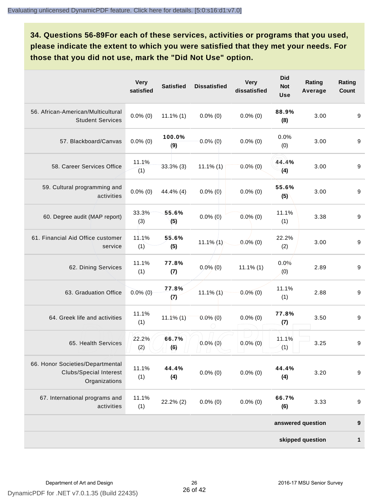**34. Questions 56-89For each of these services, activities or programs that you used, please indicate the extent to which you were satisfied that they met your needs. For those that you did not use, mark the "Did Not Use" option.**

|                                                                                    | <b>Very</b><br>satisfied | <b>Satisfied</b> | <b>Dissatisfied</b> | <b>Very</b><br>dissatisfied | <b>Did</b><br><b>Not</b><br>Use | Rating<br>Average | Rating<br><b>Count</b> |
|------------------------------------------------------------------------------------|--------------------------|------------------|---------------------|-----------------------------|---------------------------------|-------------------|------------------------|
| 56. African-American/Multicultural<br><b>Student Services</b>                      | $0.0\%$ (0)              | $11.1\%$ (1)     | $0.0\%$ (0)         | $0.0\%$ (0)                 | 88.9%<br>(8)                    | 3.00              | 9                      |
| 57. Blackboard/Canvas                                                              | $0.0\%$ (0)              | 100.0%<br>(9)    | $0.0\%$ (0)         | $0.0\%$ (0)                 | 0.0%<br>(0)                     | 3.00              | 9                      |
| 58. Career Services Office                                                         | 11.1%<br>(1)             | $33.3\%$ (3)     | $11.1\%$ (1)        | $0.0\%$ (0)                 | 44.4%<br>(4)                    | 3.00              | 9                      |
| 59. Cultural programming and<br>activities                                         | $0.0\%$ (0)              | 44.4% (4)        | $0.0\%$ (0)         | $0.0\%$ (0)                 | 55.6%<br>(5)                    | 3.00              | $\boldsymbol{9}$       |
| 60. Degree audit (MAP report)                                                      | 33.3%<br>(3)             | 55.6%<br>(5)     | $0.0\%$ (0)         | $0.0\%$ (0)                 | 11.1%<br>(1)                    | 3.38              | 9                      |
| 61. Financial Aid Office customer<br>service                                       | 11.1%<br>(1)             | 55.6%<br>(5)     | $11.1\%$ (1)        | $0.0\%$ (0)                 | 22.2%<br>(2)                    | 3.00              | 9                      |
| 62. Dining Services                                                                | 11.1%<br>(1)             | 77.8%<br>(7)     | $0.0\%$ (0)         | $11.1\%$ (1)                | 0.0%<br>(0)                     | 2.89              | 9                      |
| 63. Graduation Office                                                              | $0.0\%$ (0)              | 77.8%<br>(7)     | $11.1\%$ (1)        | $0.0\%$ (0)                 | 11.1%<br>(1)                    | 2.88              | 9                      |
| 64. Greek life and activities                                                      | 11.1%<br>(1)             | $11.1\%$ (1)     | $0.0\%$ (0)         | $0.0\%$ (0)                 | 77.8%<br>(7)                    | 3.50              | 9                      |
| 65. Health Services                                                                | 22.2%<br>(2)             | 66.7%<br>(6)     | $0.0\%$ (0)         | $0.0\%$ (0)                 | 11.1%<br>(1)                    | 3.25              | 9                      |
| 66. Honor Societies/Departmental<br><b>Clubs/Special Interest</b><br>Organizations | 11.1%<br>(1)             | 44.4%<br>(4)     | $0.0\%$ (0)         | $0.0\%$ (0)                 | 44.4%<br>(4)                    | 3.20              | $\boldsymbol{9}$       |
| 67. International programs and<br>activities                                       | 11.1%<br>(1)             | 22.2% (2)        | $0.0\%$ (0)         | $0.0\%$ (0)                 | 66.7%<br>(6)                    | 3.33              | $\boldsymbol{9}$       |
|                                                                                    |                          |                  |                     |                             |                                 | answered question | $\boldsymbol{9}$       |
|                                                                                    |                          |                  |                     |                             |                                 | skipped question  | 1                      |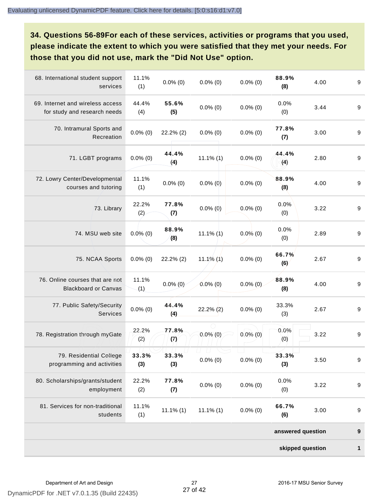**34. Questions 56-89For each of these services, activities or programs that you used, please indicate the extent to which you were satisfied that they met your needs. For those that you did not use, mark the "Did Not Use" option.**

| 68. International student support<br>services                    | 11.1%<br>(1) | $0.0\%$ (0)  | $0.0\%$ (0)  | $0.0\%$ (0) | 88.9%<br>(8)      | 4.00 | $\boldsymbol{9}$ |
|------------------------------------------------------------------|--------------|--------------|--------------|-------------|-------------------|------|------------------|
| 69. Internet and wireless access<br>for study and research needs | 44.4%<br>(4) | 55.6%<br>(5) | $0.0\%$ (0)  | $0.0\%$ (0) | 0.0%<br>(0)       | 3.44 | $\boldsymbol{9}$ |
| 70. Intramural Sports and<br>Recreation                          | $0.0\%$ (0)  | $22.2\%$ (2) | $0.0\%$ (0)  | $0.0\%$ (0) | 77.8%<br>(7)      | 3.00 | $\boldsymbol{9}$ |
| 71. LGBT programs                                                | $0.0\%$ (0)  | 44.4%<br>(4) | $11.1\%$ (1) | $0.0\%$ (0) | 44.4%<br>(4)      | 2.80 | $\boldsymbol{9}$ |
| 72. Lowry Center/Developmental<br>courses and tutoring           | 11.1%<br>(1) | $0.0\%$ (0)  | $0.0\%$ (0)  | $0.0\%$ (0) | 88.9%<br>(8)      | 4.00 | $\boldsymbol{9}$ |
| 73. Library                                                      | 22.2%<br>(2) | 77.8%<br>(7) | $0.0\%$ (0)  | $0.0\%$ (0) | 0.0%<br>(0)       | 3.22 | $\boldsymbol{9}$ |
| 74. MSU web site                                                 | $0.0\%$ (0)  | 88.9%<br>(8) | $11.1\%$ (1) | $0.0\%$ (0) | 0.0%<br>(0)       | 2.89 | $\boldsymbol{9}$ |
| 75. NCAA Sports                                                  | $0.0\%$ (0)  | $22.2\%$ (2) | 11.1% $(1)$  | $0.0\%$ (0) | 66.7%<br>(6)      | 2.67 | $\boldsymbol{9}$ |
| 76. Online courses that are not<br><b>Blackboard or Canvas</b>   | 11.1%<br>(1) | $0.0\%$ (0)  | $0.0\%$ (0)  | $0.0\%$ (0) | 88.9%<br>(8)      | 4.00 | 9                |
| 77. Public Safety/Security<br>Services                           | $0.0\%$ (0)  | 44.4%<br>(4) | $22.2\%$ (2) | $0.0\%$ (0) | 33.3%<br>(3)      | 2.67 | 9                |
| 78. Registration through myGate                                  | 22.2%<br>(2) | 77.8%<br>(7) | $0.0\%$ (0)  | $0.0\%$ (0) | 0.0%<br>(0)       | 3.22 | $\boldsymbol{9}$ |
| 79. Residential College<br>programming and activities            | 33.3%<br>(3) | 33.3%<br>(3) | $0.0\%$ (0)  | $0.0\%$ (0) | 33.3%<br>(3)      | 3.50 | 9                |
| 80. Scholarships/grants/student<br>employment                    | 22.2%<br>(2) | 77.8%<br>(7) | $0.0\%$ (0)  | $0.0\%$ (0) | 0.0%<br>(0)       | 3.22 | $\boldsymbol{9}$ |
| 81. Services for non-traditional<br>students                     | 11.1%<br>(1) | $11.1\%$ (1) | $11.1\%$ (1) | $0.0\%$ (0) | 66.7%<br>(6)      | 3.00 | 9                |
|                                                                  |              |              |              |             | answered question |      | 9                |
|                                                                  |              |              |              |             | skipped question  |      | 1                |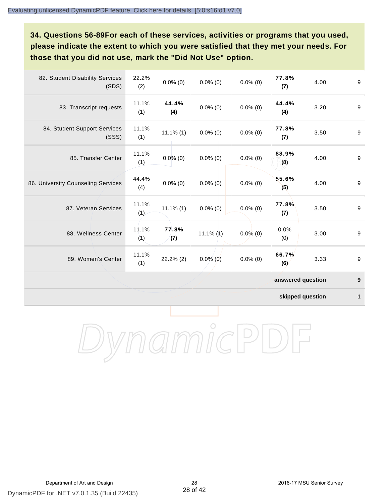**34. Questions 56-89For each of these services, activities or programs that you used, please indicate the extent to which you were satisfied that they met your needs. For those that you did not use, mark the "Did Not Use" option.**

| 82. Student Disability Services<br>(SDS) | 22.2%<br>(2) | $0.0\%$ (0)  | $0.0\%$ (0)  | $0.0\%$ (0) | 77.8%<br>(7)      | 4.00 | 9                |
|------------------------------------------|--------------|--------------|--------------|-------------|-------------------|------|------------------|
| 83. Transcript requests                  | 11.1%<br>(1) | 44.4%<br>(4) | $0.0\%$ (0)  | $0.0\%$ (0) | 44.4%<br>(4)      | 3.20 | 9                |
| 84. Student Support Services<br>(SSS)    | 11.1%<br>(1) | $11.1\%$ (1) | $0.0\%$ (0)  | $0.0\%$ (0) | 77.8%<br>(7)      | 3.50 | 9                |
| 85. Transfer Center                      | 11.1%<br>(1) | $0.0\%$ (0)  | $0.0\%$ (0)  | $0.0\%$ (0) | 88.9%<br>(8)      | 4.00 | $\boldsymbol{9}$ |
| 86. University Counseling Services       | 44.4%<br>(4) | $0.0\%$ (0)  | $0.0\%$ (0)  | $0.0\%$ (0) | 55.6%<br>(5)      | 4.00 | 9                |
| 87. Veteran Services                     | 11.1%<br>(1) | $11.1\%$ (1) | $0.0\%$ (0)  | $0.0\%$ (0) | 77.8%<br>(7)      | 3.50 | 9                |
| 88. Wellness Center                      | 11.1%<br>(1) | 77.8%<br>(7) | $11.1\%$ (1) | $0.0\%$ (0) | 0.0%<br>(0)       | 3.00 | 9                |
| 89. Women's Center                       | 11.1%<br>(1) | 22.2% (2)    | $0.0\%$ (0)  | $0.0\%$ (0) | 66.7%<br>(6)      | 3.33 | 9                |
|                                          |              |              |              |             | answered question |      | $\boldsymbol{9}$ |

**skipped question 1**

DynamicPDF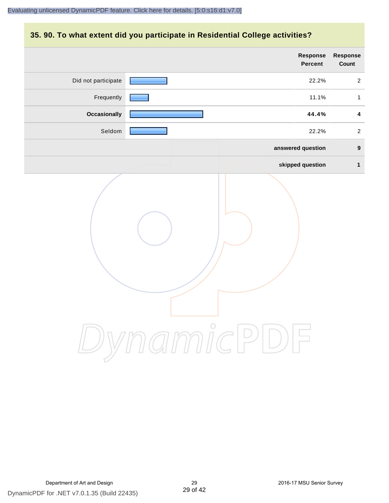#### **35. 90. To what extent did you participate in Residential College activities?**

|                     | <b>Response</b><br>Percent | Response<br>Count       |
|---------------------|----------------------------|-------------------------|
| Did not participate | 22.2%                      | $\overline{2}$          |
| Frequently          | 11.1%                      | $\mathbf{1}$            |
| <b>Occasionally</b> | 44.4%                      | $\overline{\mathbf{4}}$ |
| Seldom              | 22.2%                      | $\overline{2}$          |
|                     | answered question          | $\boldsymbol{9}$        |
|                     | skipped question           | $\mathbf{1}$            |
|                     | ynamicPD                   |                         |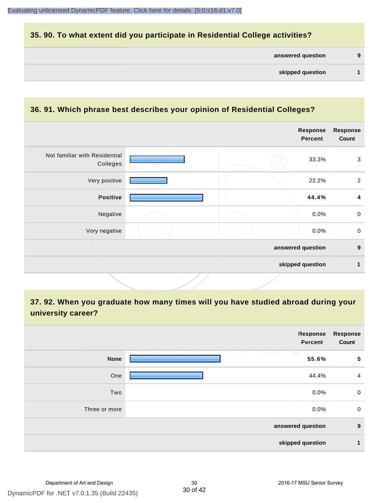#### **35. 90. To what extent did you participate in Residential College activities?**

| answered question |  |  |
|-------------------|--|--|
|-------------------|--|--|

#### **36. 91. Which phrase best describes your opinion of Residential Colleges?**

|                                           |  | <b>Response</b><br><b>Percent</b> | Response<br>Count |
|-------------------------------------------|--|-----------------------------------|-------------------|
| Not familiar with Residential<br>Colleges |  | 33.3%                             | $\mathbf{3}$      |
| Very positive                             |  | 22.2%                             | $\overline{2}$    |
| Positive                                  |  | 44.4%                             | 4                 |
| Negative                                  |  | 0.0%                              | $\mathsf{O}$      |
| Very negative                             |  | 0.0%                              | $\mathbf 0$       |
|                                           |  | answered question                 | $\boldsymbol{9}$  |
|                                           |  | skipped question                  | 1                 |
|                                           |  |                                   |                   |

## **37. 92. When you graduate how many times will you have studied abroad during your university career?**

|               | Response<br>Percent        | <b>Response</b><br>Count |
|---------------|----------------------------|--------------------------|
| <b>None</b>   | - 121 - 121 - 121<br>55.6% | 5                        |
| One           | 44.4%                      | $\overline{4}$           |
| Two           | 0.0%                       | $\mathbf 0$              |
| Three or more | 0.0%                       | $\mathbf 0$              |
|               | answered question          | 9                        |
|               | skipped question           | $\mathbf{1}$             |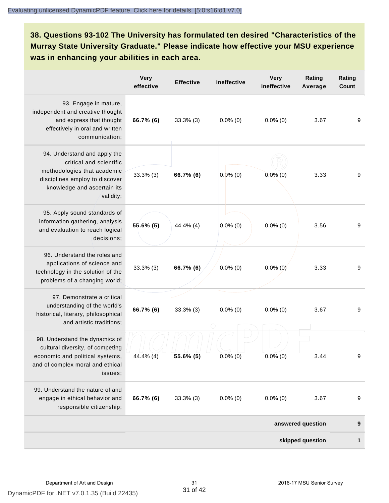**38. Questions 93-102 The University has formulated ten desired "Characteristics of the Murray State University Graduate." Please indicate how effective your MSU experience was in enhancing your abilities in each area.**

|                                                                                                                                                                      | <b>Very</b><br>effective | <b>Effective</b> | Ineffective | <b>Very</b><br>ineffective | Rating<br>Average | Rating<br>Count |
|----------------------------------------------------------------------------------------------------------------------------------------------------------------------|--------------------------|------------------|-------------|----------------------------|-------------------|-----------------|
| 93. Engage in mature,<br>independent and creative thought<br>and express that thought<br>effectively in oral and written<br>communication;                           | 66.7% (6)                | $33.3\%$ (3)     | $0.0\%$ (0) | $0.0\%$ (0)                | 3.67              | 9               |
| 94. Understand and apply the<br>critical and scientific<br>methodologies that academic<br>disciplines employ to discover<br>knowledge and ascertain its<br>validity; | $33.3\%$ (3)             | 66.7% (6)        | $0.0\%$ (0) | $0.0\%$ (0)                | 3.33              | 9               |
| 95. Apply sound standards of<br>information gathering, analysis<br>and evaluation to reach logical<br>decisions;                                                     | 55.6% (5)                | 44.4% (4)        | $0.0\%$ (0) | $0.0\%$ (0)                | 3.56              | 9               |
| 96. Understand the roles and<br>applications of science and<br>technology in the solution of the<br>problems of a changing world;                                    | $33.3\%$ (3)             | 66.7% (6)        | $0.0\%$ (0) | $0.0\%$ (0)                | 3.33              | 9               |
| 97. Demonstrate a critical<br>understanding of the world's<br>historical, literary, philosophical<br>and artistic traditions;                                        | 66.7% (6)                | $33.3\%$ (3)     | $0.0\%$ (0) | $0.0\%$ (0)                | 3.67              | 9               |
| 98. Understand the dynamics of<br>cultural diversity, of competing<br>economic and political systems,<br>and of complex moral and ethical<br>issues:                 | 44.4% (4)                | $55.6\%$ (5)     | $0.0\%$ (0) | $0.0\%$ (0)                | 3.44              | 9               |
| 99. Understand the nature of and<br>engage in ethical behavior and<br>responsible citizenship;                                                                       | 66.7% (6)                | $33.3\%$ (3)     | $0.0\%$ (0) | $0.0\%$ (0)                | 3.67              | 9               |
|                                                                                                                                                                      |                          |                  |             |                            | answered question | 9               |
|                                                                                                                                                                      |                          |                  |             |                            | skipped question  | 1               |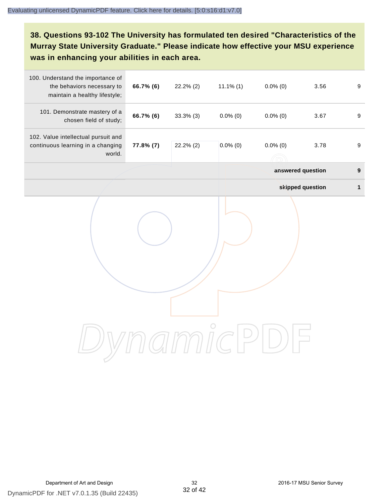**38. Questions 93-102 The University has formulated ten desired "Characteristics of the Murray State University Graduate." Please indicate how effective your MSU experience was in enhancing your abilities in each area.**

| 100. Understand the importance of<br>the behaviors necessary to<br>maintain a healthy lifestyle; | 66.7% (6) | 22.2% (2) | $11.1\%$ (1) | $0.0\%$ (0) | 3.56              | $\boldsymbol{9}$ |
|--------------------------------------------------------------------------------------------------|-----------|-----------|--------------|-------------|-------------------|------------------|
| 101. Demonstrate mastery of a<br>chosen field of study;                                          | 66.7% (6) | 33.3% (3) | $0.0\%$ (0)  | $0.0\%$ (0) | 3.67              | $\boldsymbol{9}$ |
| 102. Value intellectual pursuit and<br>continuous learning in a changing<br>world.               | 77.8% (7) | 22.2% (2) | $0.0\%$ (0)  | $0.0\%$ (0) | 3.78              | 9                |
|                                                                                                  |           |           |              |             | answered question | $\boldsymbol{9}$ |
|                                                                                                  |           |           |              |             | skipped question  | $\mathbf{1}$     |
|                                                                                                  |           |           |              |             |                   |                  |
|                                                                                                  |           |           |              |             |                   |                  |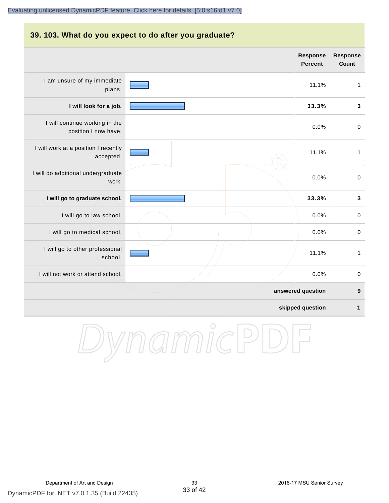## **39. 103. What do you expect to do after you graduate? answered question 9 skipped question 1 Response Percent Response Count** I am unsure of my immediate plans. 11.1% 1 **I will look for a job. 33.3% 3** I will continue working in the position I now have. 0.0% 0 I will work at a position I recently accepted. 11.1% 1 I will do additional undergraduate work. 0.0% 0 **I will go to graduate school. 33.3% 3** I will go to law school.  $\sim$  0.0% 0 I will go to medical school.  $\qquad \qquad \qquad$  0.0% 0 I will go to other professional school. 11.1% 1 I will not work or attend school. 0.0% 0

#### DynamicPDF for .NET v7.0.1.35 (Build 22435) Department of Art and Design 33 2016-17 MSU Senior Survey

DynamicPD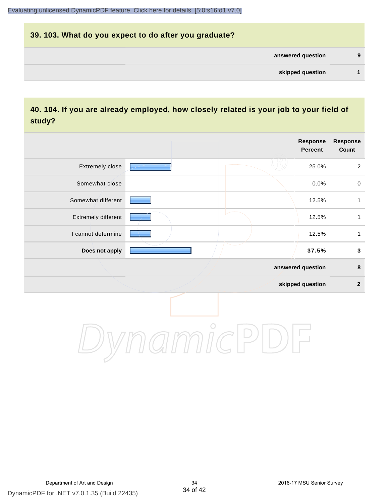## **39. 103. What do you expect to do after you graduate? answered question 9 skipped question 1**

#### **40. 104. If you are already employed, how closely related is your job to your field of study?**

|                     |            | <b>Response</b><br><b>Percent</b> | <b>Response</b><br>Count |
|---------------------|------------|-----------------------------------|--------------------------|
| Extremely close     |            | 25.0%                             | $\overline{2}$           |
| Somewhat close      |            | 0.0%                              | $\mathbf 0$              |
| Somewhat different  |            | 12.5%                             | $\mathbf{1}$             |
| Extremely different |            | 12.5%                             | 1                        |
| I cannot determine  |            | 12.5%                             | $\mathbf{1}$             |
| Does not apply      |            | 37.5%                             | $\mathbf 3$              |
|                     |            | answered question                 | $\pmb{8}$                |
|                     |            | skipped question                  | $\boldsymbol{2}$         |
|                     | $\bigcirc$ |                                   |                          |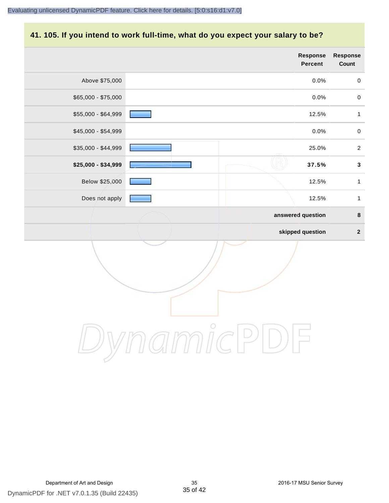## **41. 105. If you intend to work full-time, what do you expect your salary to be?**

|                     |                   | Response<br>Percent | Response<br>Count |
|---------------------|-------------------|---------------------|-------------------|
| Above \$75,000      |                   | 0.0%                | $\mathbf 0$       |
| $$65,000 - $75,000$ |                   | 0.0%                | $\pmb{0}$         |
| \$55,000 - \$64,999 |                   | 12.5%               | $\mathbf{1}$      |
| \$45,000 - \$54,999 |                   | 0.0%                | $\pmb{0}$         |
| $$35,000 - $44,999$ |                   | 25.0%               | $\sqrt{2}$        |
| \$25,000 - \$34,999 |                   | 37.5%               | $\mathbf{3}$      |
| Below \$25,000      |                   | 12.5%               | $\mathbf{1}$      |
| Does not apply      |                   | 12.5%               | $\mathbf{1}$      |
|                     | answered question |                     | $\pmb{8}$         |
|                     |                   | skipped question    | $\overline{2}$    |
|                     | $\bigcirc$        |                     |                   |
|                     |                   |                     |                   |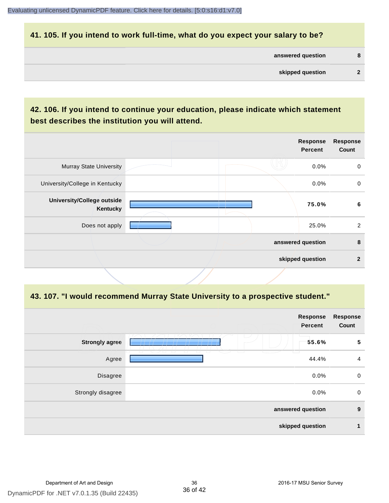#### **41. 105. If you intend to work full-time, what do you expect your salary to be?**

| answered question |  |  |
|-------------------|--|--|
|-------------------|--|--|

#### **42. 106. If you intend to continue your education, please indicate which statement best describes the institution you will attend.**

|                                        | <b>Response</b><br><b>Percent</b> | <b>Response</b><br>Count |
|----------------------------------------|-----------------------------------|--------------------------|
| <b>Murray State University</b>         | 0.0%                              | 0                        |
| University/College in Kentucky         | 0.0%                              | $\mathbf 0$              |
| University/College outside<br>Kentucky | 75.0%                             | 6                        |
| Does not apply                         | 25.0%                             | 2                        |
|                                        | answered question                 | 8                        |
|                                        | skipped question                  | $\mathbf{2}$             |

#### **43. 107. "I would recommend Murray State University to a prospective student."**

|                       | <b>Response</b><br>Percent                        | <b>Response</b><br>Count |
|-----------------------|---------------------------------------------------|--------------------------|
| <b>Strongly agree</b> | $\overline{\phantom{a}}$<br>55.6%<br>m            | 5                        |
| Agree                 | 73<br>T _ T<br>$\Box$<br>□<br>$\sqrt{2}$<br>44.4% | $\overline{a}$           |
| Disagree              | 0.0%                                              | $\mathbf 0$              |
| Strongly disagree     | 0.0%                                              | $\mathbf 0$              |
|                       | answered question                                 | 9                        |
|                       | skipped question                                  | $\mathbf 1$              |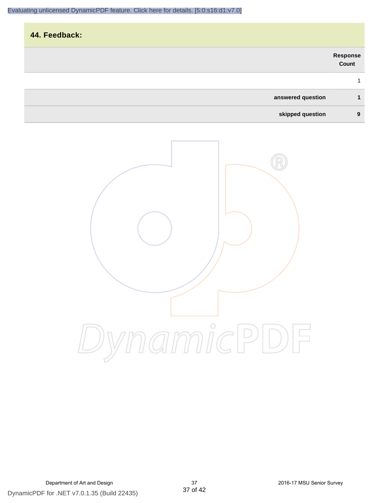## **44. Feedback: answered question 1 skipped question 9 Response Count** 1

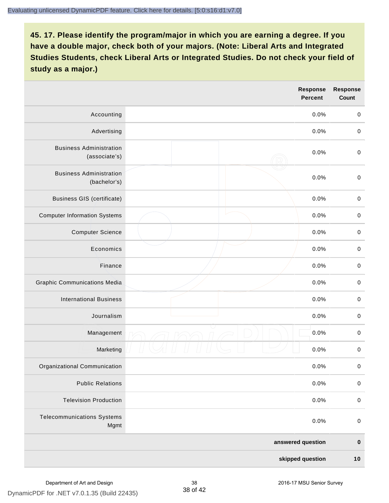|                                                 |  | <b>Response</b><br><b>Percent</b> | <b>Response</b><br><b>Count</b> |
|-------------------------------------------------|--|-----------------------------------|---------------------------------|
| Accounting                                      |  | 0.0%                              | $\mathbf 0$                     |
| Advertising                                     |  | 0.0%                              | $\,0\,$                         |
| <b>Business Administration</b><br>(associate's) |  | 0.0%                              | $\pmb{0}$                       |
| <b>Business Administration</b><br>(bachelor's)  |  | 0.0%                              | $\mathbf 0$                     |
| <b>Business GIS (certificate)</b>               |  | 0.0%                              | $\pmb{0}$                       |
| <b>Computer Information Systems</b>             |  | 0.0%                              | $\pmb{0}$                       |
| <b>Computer Science</b>                         |  | 0.0%                              | $\mathbf 0$                     |
| Economics                                       |  | 0.0%                              | $\mathbf 0$                     |
| Finance                                         |  | 0.0%                              | $\pmb{0}$                       |
| <b>Graphic Communications Media</b>             |  | 0.0%                              | $\,0\,$                         |
| <b>International Business</b>                   |  | 0.0%                              | $\pmb{0}$                       |
| Journalism                                      |  | 0.0%                              | $\mathbf 0$                     |
| Management                                      |  | 0.0%                              | $\pmb{0}$                       |
| Marketing                                       |  | 0.0%                              | $\pmb{0}$                       |
| Organizational Communication                    |  | 0.0%                              | 0                               |
| <b>Public Relations</b>                         |  | 0.0%                              | $\mathbf 0$                     |
| <b>Television Production</b>                    |  | 0.0%                              | $\mathbf 0$                     |
| <b>Telecommunications Systems</b><br>Mgmt       |  | 0.0%                              | $\mathbf 0$                     |
| answered question                               |  | $\pmb{0}$                         |                                 |
| skipped question                                |  | 10                                |                                 |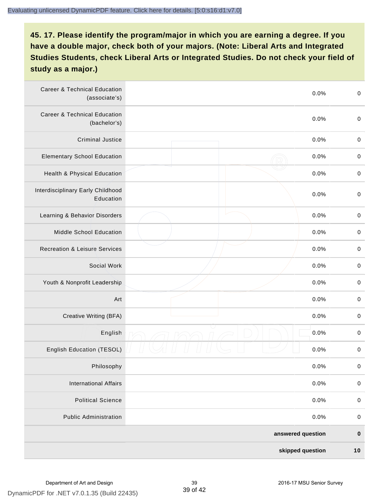| <b>Career &amp; Technical Education</b><br>(associate's) | 0.0%              | $\pmb{0}$   |
|----------------------------------------------------------|-------------------|-------------|
| <b>Career &amp; Technical Education</b><br>(bachelor's)  | 0.0%              | $\mathbf 0$ |
| <b>Criminal Justice</b>                                  | 0.0%              | $\pmb{0}$   |
| <b>Elementary School Education</b>                       | 0.0%              | $\pmb{0}$   |
| Health & Physical Education                              | 0.0%              | $\pmb{0}$   |
| Interdisciplinary Early Childhood<br>Education           | 0.0%              | $\pmb{0}$   |
| Learning & Behavior Disorders                            | 0.0%              | $\pmb{0}$   |
| <b>Middle School Education</b>                           | 0.0%              | $\pmb{0}$   |
| <b>Recreation &amp; Leisure Services</b>                 | 0.0%              | $\pmb{0}$   |
| Social Work                                              | 0.0%              | $\pmb{0}$   |
| Youth & Nonprofit Leadership                             | 0.0%              | $\mathbf 0$ |
| Art                                                      | 0.0%              | $\pmb{0}$   |
| Creative Writing (BFA)                                   | 0.0%              | $\pmb{0}$   |
| English                                                  | 0.0%              | $\pmb{0}$   |
| English Education (TESOL)                                | 0.0%              | $\pmb{0}$   |
| Philosophy                                               | 0.0%              | 0           |
| <b>International Affairs</b>                             | 0.0%              | $\pmb{0}$   |
| <b>Political Science</b>                                 | 0.0%              | $\pmb{0}$   |
| <b>Public Administration</b>                             | 0.0%              | $\pmb{0}$   |
|                                                          | answered question | $\pmb{0}$   |
|                                                          | skipped question  | 10          |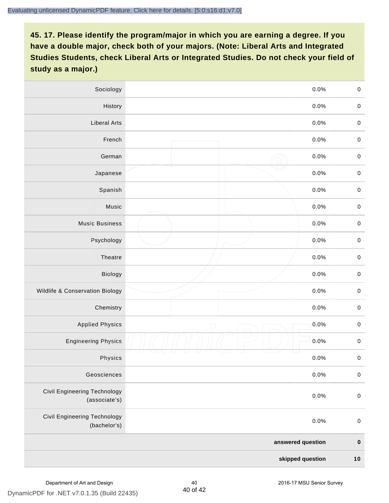| Sociology                                     | 0.0%               | $\mathbf 0$         |
|-----------------------------------------------|--------------------|---------------------|
| History                                       | 0.0%               | $\mathbf 0$         |
| <b>Liberal Arts</b>                           | 0.0%               | $\pmb{0}$           |
| French                                        | 0.0%               | $\pmb{0}$           |
| German                                        | 0.0%               | $\mathbf 0$         |
| Japanese                                      | 0.0%               | $\pmb{0}$           |
| Spanish                                       | 0.0%               | $\mathbf 0$         |
| Music                                         | 0.0%               | $\mathbf 0$         |
| <b>Music Business</b>                         | 0.0%               | $\pmb{0}$           |
| Psychology                                    | 0.0%               | $\mathbf 0$         |
| Theatre                                       | 0.0%               | $\mathbf 0$         |
| Biology                                       | 0.0%               | $\mathbf 0$         |
| Wildlife & Conservation Biology               | 0.0%               | $\mathbf 0$         |
| Chemistry                                     | 0.0%               | $\pmb{0}$           |
| <b>Applied Physics</b>                        | 0.0%<br>$\bigcirc$ | $\mathbf 0$         |
| <b>Engineering Physics</b>                    | 0.0%               | $\mathbf 0$         |
| Physics                                       | 0.0%               | $\mathsf{O}\xspace$ |
| Geosciences                                   | 0.0%               | $\mathbf 0$         |
| Civil Engineering Technology<br>(associate's) | 0.0%               | $\pmb{0}$           |
| Civil Engineering Technology<br>(bachelor's)  | 0.0%               | $\mathbf 0$         |
|                                               | answered question  | $\pmb{0}$           |
|                                               | skipped question   | $10$                |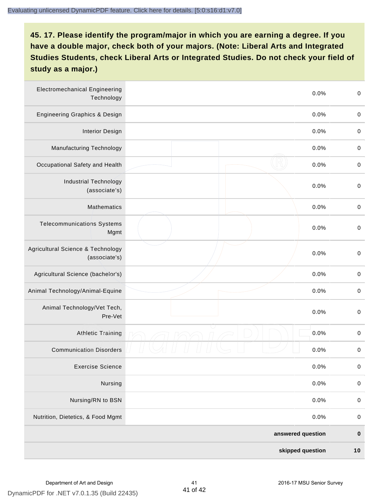| <b>Electromechanical Engineering</b><br>Technology | 0.0%              | $\mathbf 0$ |
|----------------------------------------------------|-------------------|-------------|
| <b>Engineering Graphics &amp; Design</b>           | 0.0%              | $\mathbf 0$ |
| <b>Interior Design</b>                             | 0.0%              | $\pmb{0}$   |
| <b>Manufacturing Technology</b>                    | 0.0%              | $\pmb{0}$   |
| Occupational Safety and Health                     | 0.0%              | $\pmb{0}$   |
| <b>Industrial Technology</b><br>(associate's)      | 0.0%              | $\pmb{0}$   |
| <b>Mathematics</b>                                 | 0.0%              | $\pmb{0}$   |
| <b>Telecommunications Systems</b><br>Mgmt          | 0.0%              | $\pmb{0}$   |
| Agricultural Science & Technology<br>(associate's) | 0.0%              | $\mathbf 0$ |
| Agricultural Science (bachelor's)                  | 0.0%              | $\mathbf 0$ |
| Animal Technology/Animal-Equine                    | 0.0%              | $\pmb{0}$   |
| Animal Technology/Vet Tech,<br>Pre-Vet             | 0.0%              | $\pmb{0}$   |
| <b>Athletic Training</b>                           | 0.0%              | $\pmb{0}$   |
| <b>Communication Disorders</b>                     | 0.0%              | $\pmb{0}$   |
| <b>Exercise Science</b>                            | 0.0%              | $\pmb{0}$   |
| Nursing                                            | 0.0%              | $\pmb{0}$   |
| Nursing/RN to BSN                                  | 0.0%              | $\pmb{0}$   |
| Nutrition, Dietetics, & Food Mgmt                  | 0.0%              | $\,0\,$     |
|                                                    | answered question | $\pmb{0}$   |
|                                                    | skipped question  | $10$        |